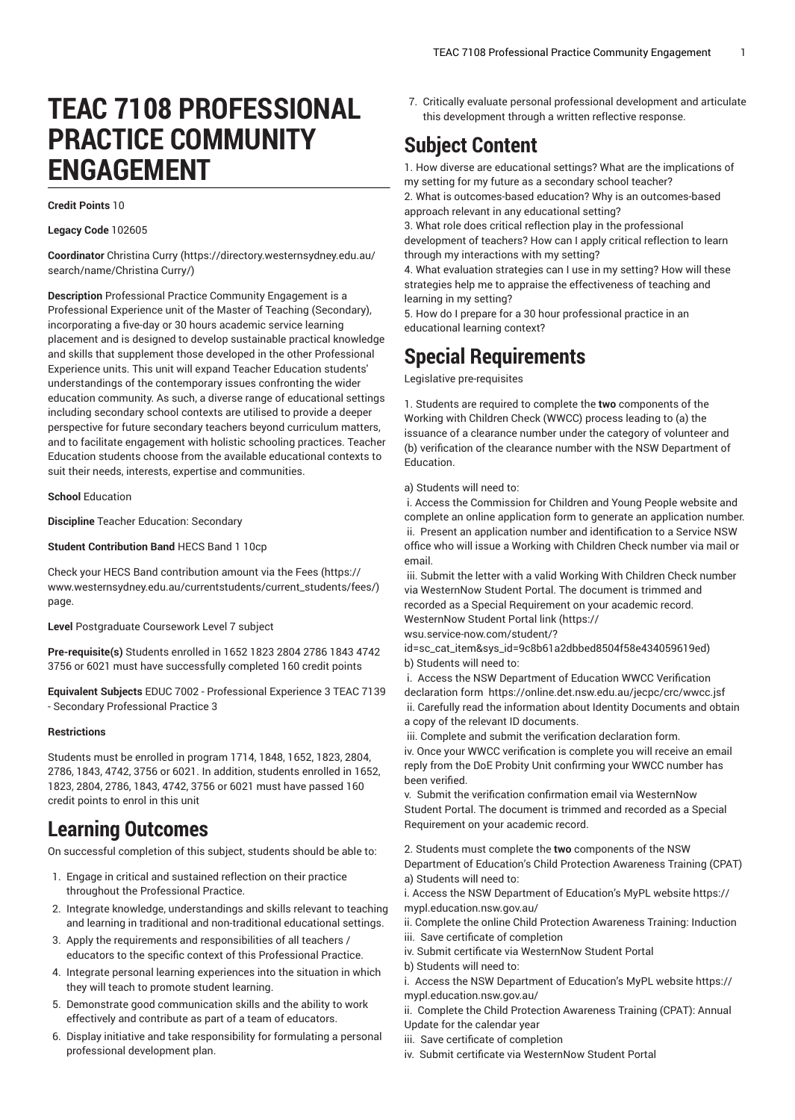# **TEAC 7108 PROFESSIONAL PRACTICE COMMUNITY ENGAGEMENT**

### **Credit Points** 10

### **Legacy Code** 102605

**Coordinator** [Christina](https://directory.westernsydney.edu.au/search/name/Christina Curry/) Curry [\(https://directory.westernsydney.edu.au/](https://directory.westernsydney.edu.au/search/name/Christina Curry/) [search/name/Christina](https://directory.westernsydney.edu.au/search/name/Christina Curry/) Curry/)

**Description** Professional Practice Community Engagement is a Professional Experience unit of the Master of Teaching (Secondary), incorporating a five-day or 30 hours academic service learning placement and is designed to develop sustainable practical knowledge and skills that supplement those developed in the other Professional Experience units. This unit will expand Teacher Education students' understandings of the contemporary issues confronting the wider education community. As such, a diverse range of educational settings including secondary school contexts are utilised to provide a deeper perspective for future secondary teachers beyond curriculum matters, and to facilitate engagement with holistic schooling practices. Teacher Education students choose from the available educational contexts to suit their needs, interests, expertise and communities.

**School** Education

**Discipline** Teacher Education: Secondary

**Student Contribution Band** HECS Band 1 10cp

Check your HECS Band contribution amount via the [Fees \(https://](https://www.westernsydney.edu.au/currentstudents/current_students/fees/) [www.westernsydney.edu.au/currentstudents/current\\_students/fees/\)](https://www.westernsydney.edu.au/currentstudents/current_students/fees/) page.

**Level** Postgraduate Coursework Level 7 subject

**Pre-requisite(s)** Students enrolled in 1652 1823 2804 2786 1843 4742 3756 or 6021 must have successfully completed 160 credit points

**Equivalent Subjects** EDUC 7002 - Professional Experience 3 TEAC 7139 - Secondary Professional Practice 3

#### **Restrictions**

Students must be enrolled in program 1714, 1848, 1652, 1823, 2804, 2786, 1843, 4742, 3756 or 6021. In addition, students enrolled in 1652, 1823, 2804, 2786, 1843, 4742, 3756 or 6021 must have passed 160 credit points to enrol in this unit

# **Learning Outcomes**

On successful completion of this subject, students should be able to:

- 1. Engage in critical and sustained reflection on their practice throughout the Professional Practice.
- 2. Integrate knowledge, understandings and skills relevant to teaching and learning in traditional and non-traditional educational settings.
- 3. Apply the requirements and responsibilities of all teachers / educators to the specific context of this Professional Practice.
- 4. Integrate personal learning experiences into the situation in which they will teach to promote student learning.
- 5. Demonstrate good communication skills and the ability to work effectively and contribute as part of a team of educators.
- 6. Display initiative and take responsibility for formulating a personal professional development plan.

7. Critically evaluate personal professional development and articulate this development through a written reflective response.

# **Subject Content**

1. How diverse are educational settings? What are the implications of my setting for my future as a secondary school teacher?

2. What is outcomes-based education? Why is an outcomes-based approach relevant in any educational setting?

3. What role does critical reflection play in the professional development of teachers? How can I apply critical reflection to learn through my interactions with my setting?

4. What evaluation strategies can I use in my setting? How will these strategies help me to appraise the effectiveness of teaching and learning in my setting?

5. How do I prepare for a 30 hour professional practice in an educational learning context?

# **Special Requirements**

Legislative pre-requisites

1. Students are required to complete the **two** components of the Working with Children Check (WWCC) process leading to (a) the issuance of a clearance number under the category of volunteer and (b) verification of the clearance number with the NSW Department of Education.

a) Students will need to:

i. Access the Commission for Children and Young People website and complete an online application form to generate an application number. ii. Present an application number and identification to a Service NSW office who will issue a Working with Children Check number via mail or email.

iii. Submit the letter with a valid Working With Children Check number via WesternNow Student Portal. The document is trimmed and recorded as a Special Requirement on your academic record. [WesternNow](https://wsu.service-now.com/student/?id=sc_cat_item&sys_id=9c8b61a2dbbed8504f58e434059619ed) Student Portal link [\(https://](https://wsu.service-now.com/student/?id=sc_cat_item&sys_id=9c8b61a2dbbed8504f58e434059619ed)

[wsu.service-now.com/student/?](https://wsu.service-now.com/student/?id=sc_cat_item&sys_id=9c8b61a2dbbed8504f58e434059619ed)

[id=sc\\_cat\\_item&sys\\_id=9c8b61a2dbbed8504f58e434059619ed\)](https://wsu.service-now.com/student/?id=sc_cat_item&sys_id=9c8b61a2dbbed8504f58e434059619ed) b) Students will need to:

i. Access the NSW Department of Education WWCC Verification declaration form <https://online.det.nsw.edu.au/jecpc/crc/wwcc.jsf> ii. Carefully read the information about Identity Documents and obtain a copy of the relevant ID documents.

iii. Complete and submit the verification declaration form.

iv. Once your WWCC verification is complete you will receive an email reply from the DoE Probity Unit confirming your WWCC number has been verified.

v. Submit the verification confirmation email via WesternNow Student Portal. The document is trimmed and recorded as a Special Requirement on your academic record.

2. Students must complete the **two** components of the NSW

Department of Education's Child Protection Awareness Training (CPAT) a) Students will need to:

i. Access the NSW Department of Education's MyPL website [https://](https://mypl.education.nsw.gov.au/) [mypl.education.nsw.gov.au/](https://mypl.education.nsw.gov.au/)

ii. Complete the online Child Protection Awareness Training: Induction iii. Save certificate of completion

iv. Submit certificate via WesternNow Student Portal

b) Students will need to:

i. Access the NSW Department of Education's MyPL website [https://](https://mypl.education.nsw.gov.au/) [mypl.education.nsw.gov.au/](https://mypl.education.nsw.gov.au/)

ii. Complete the Child Protection Awareness Training (CPAT): Annual Update for the calendar year

- iii. Save certificate of completion
- iv. Submit certificate via WesternNow Student Portal